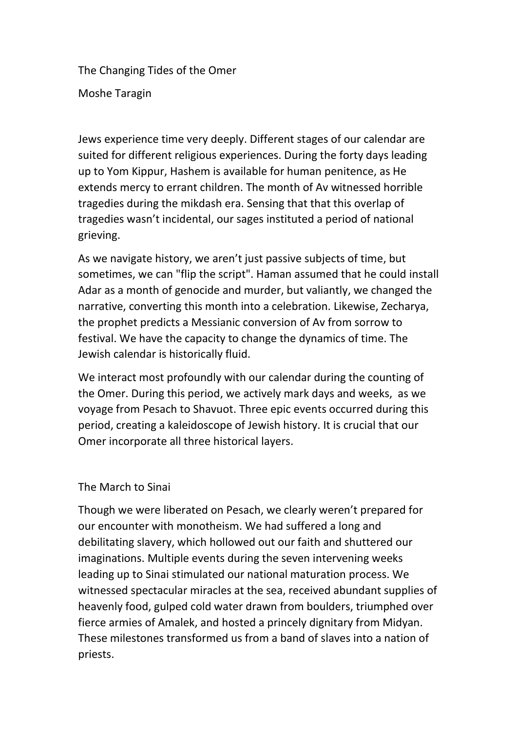The Changing Tides of the Omer

Moshe Taragin

Jews experience time very deeply. Different stages of our calendar are suited for different religious experiences. During the forty days leading up to Yom Kippur, Hashem is available for human penitence, as He extends mercy to errant children. The month of Av witnessed horrible tragedies during the mikdash era. Sensing that that this overlap of tragedies wasn't incidental, our sages instituted a period of national grieving.

As we navigate history, we aren't just passive subjects of time, but sometimes, we can "flip the script". Haman assumed that he could install Adar as a month of genocide and murder, but valiantly, we changed the narrative, converting this month into a celebration. Likewise, Zecharya, the prophet predicts a Messianic conversion of Av from sorrow to festival. We have the capacity to change the dynamics of time. The Jewish calendar is historically fluid.

We interact most profoundly with our calendar during the counting of the Omer. During this period, we actively mark days and weeks, as we voyage from Pesach to Shavuot. Three epic events occurred during this period, creating a kaleidoscope of Jewish history. It is crucial that our Omer incorporate all three historical layers.

## The March to Sinai

Though we were liberated on Pesach, we clearly weren't prepared for our encounter with monotheism. We had suffered a long and debilitating slavery, which hollowed out our faith and shuttered our imaginations. Multiple events during the seven intervening weeks leading up to Sinai stimulated our national maturation process. We witnessed spectacular miracles at the sea, received abundant supplies of heavenly food, gulped cold water drawn from boulders, triumphed over fierce armies of Amalek, and hosted a princely dignitary from Midyan. These milestones transformed us from a band of slaves into a nation of priests.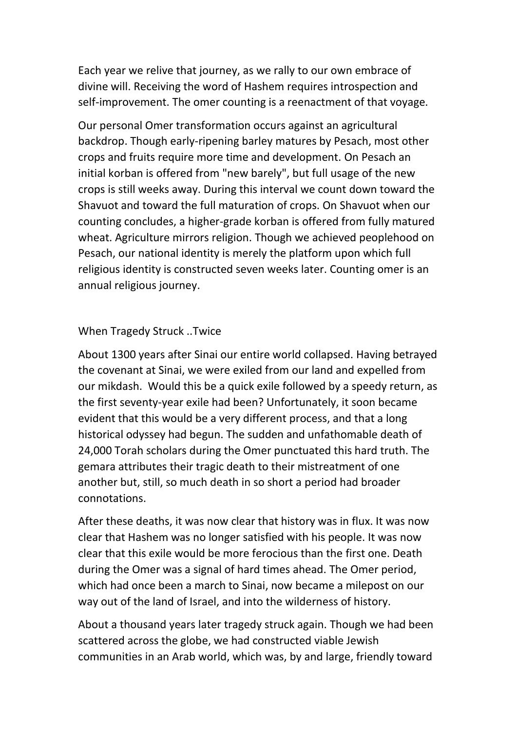Each year we relive that journey, as we rally to our own embrace of divine will. Receiving the word of Hashem requires introspection and self-improvement. The omer counting is a reenactment of that voyage.

Our personal Omer transformation occurs against an agricultural backdrop. Though early-ripening barley matures by Pesach, most other crops and fruits require more time and development. On Pesach an initial korban is offered from "new barely", but full usage of the new crops is still weeks away. During this interval we count down toward the Shavuot and toward the full maturation of crops. On Shavuot when our counting concludes, a higher-grade korban is offered from fully matured wheat. Agriculture mirrors religion. Though we achieved peoplehood on Pesach, our national identity is merely the platform upon which full religious identity is constructed seven weeks later. Counting omer is an annual religious journey.

## When Tragedy Struck ..Twice

About 1300 years after Sinai our entire world collapsed. Having betrayed the covenant at Sinai, we were exiled from our land and expelled from our mikdash. Would this be a quick exile followed by a speedy return, as the first seventy-year exile had been? Unfortunately, it soon became evident that this would be a very different process, and that a long historical odyssey had begun. The sudden and unfathomable death of 24,000 Torah scholars during the Omer punctuated this hard truth. The gemara attributes their tragic death to their mistreatment of one another but, still, so much death in so short a period had broader connotations.

After these deaths, it was now clear that history was in flux. It was now clear that Hashem was no longer satisfied with his people. It was now clear that this exile would be more ferocious than the first one. Death during the Omer was a signal of hard times ahead. The Omer period, which had once been a march to Sinai, now became a milepost on our way out of the land of Israel, and into the wilderness of history.

About a thousand years later tragedy struck again. Though we had been scattered across the globe, we had constructed viable Jewish communities in an Arab world, which was, by and large, friendly toward